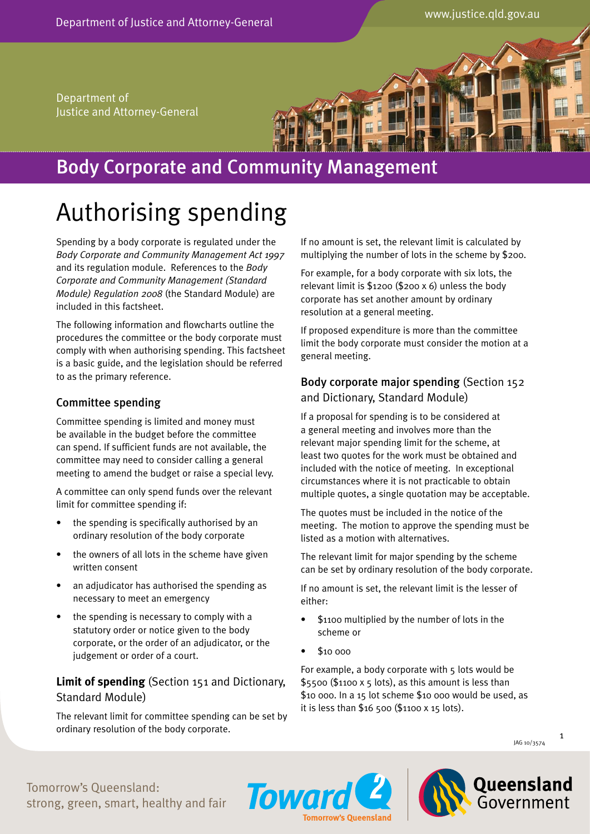Department of Justice and Attorney-General



# Body Corporate and Community Management

# Authorising spending

Spending by a body corporate is regulated under the *Body Corporate and Community Management Act 1997* and its regulation module. References to the *Body Corporate and Community Management (Standard Module) Regulation 2008* (the Standard Module) are included in this factsheet.

The following information and flowcharts outline the procedures the committee or the body corporate must comply with when authorising spending. This factsheet is a basic guide, and the legislation should be referred to as the primary reference.

## Committee spending

Committee spending is limited and money must be available in the budget before the committee can spend. If sufficient funds are not available, the committee may need to consider calling a general meeting to amend the budget or raise a special levy.

A committee can only spend funds over the relevant limit for committee spending if:

- the spending is specifically authorised by an ordinary resolution of the body corporate
- the owners of all lots in the scheme have given written consent
- an adjudicator has authorised the spending as necessary to meet an emergency
- the spending is necessary to comply with a statutory order or notice given to the body corporate, or the order of an adjudicator, or the judgement or order of a court.

# **Limit of spending** (Section 151 and Dictionary, Standard Module)

The relevant limit for committee spending can be set by ordinary resolution of the body corporate.

If no amount is set, the relevant limit is calculated by multiplying the number of lots in the scheme by \$200.

For example, for a body corporate with six lots, the relevant limit is \$1200 (\$200 x 6) unless the body corporate has set another amount by ordinary resolution at a general meeting.

If proposed expenditure is more than the committee limit the body corporate must consider the motion at a general meeting.

# Body corporate major spending (Section 152 and Dictionary, Standard Module)

If a proposal for spending is to be considered at a general meeting and involves more than the relevant major spending limit for the scheme, at least two quotes for the work must be obtained and included with the notice of meeting. In exceptional circumstances where it is not practicable to obtain multiple quotes, a single quotation may be acceptable.

The quotes must be included in the notice of the meeting. The motion to approve the spending must be listed as a motion with alternatives.

The relevant limit for major spending by the scheme can be set by ordinary resolution of the body corporate.

If no amount is set, the relevant limit is the lesser of either:

- \$1100 multiplied by the number of lots in the scheme or
- \$10 000

**Tomorrow's Queensland** 

**Toward** 

For example, a body corporate with 5 lots would be  $$5500$  (\$1100 x 5 lots), as this amount is less than \$10 000. In a 15 lot scheme \$10 000 would be used, as it is less than \$16 500 (\$1100 x 15 lots).



Tomorrow's Queensland: strong, green, smart, healthy and fair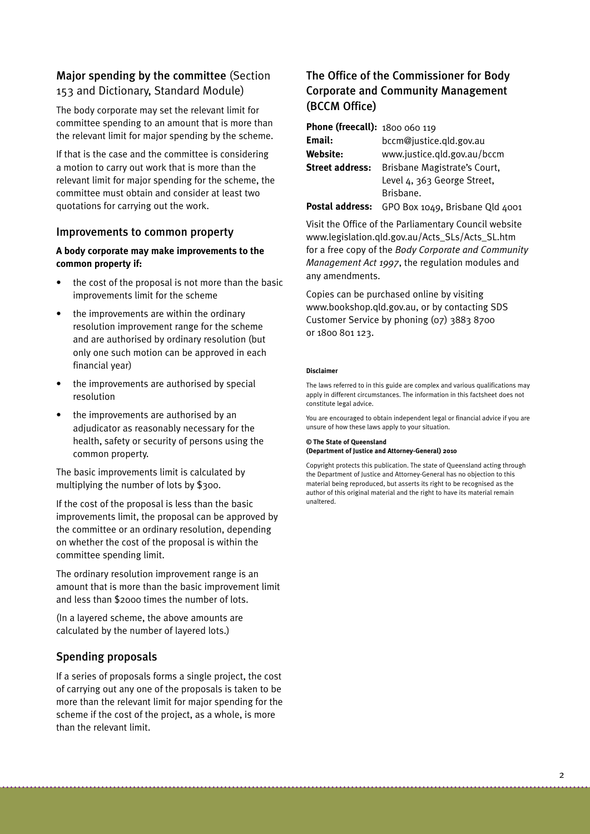# Major spending by the committee (Section 153 and Dictionary, Standard Module)

The body corporate may set the relevant limit for committee spending to an amount that is more than the relevant limit for major spending by the scheme.

If that is the case and the committee is considering a motion to carry out work that is more than the relevant limit for major spending for the scheme, the committee must obtain and consider at least two quotations for carrying out the work.

#### Improvements to common property

#### **A body corporate may make improvements to the common property if:**

- the cost of the proposal is not more than the basic improvements limit for the scheme
- the improvements are within the ordinary resolution improvement range for the scheme and are authorised by ordinary resolution (but only one such motion can be approved in each financial year)
- the improvements are authorised by special resolution
- the improvements are authorised by an adjudicator as reasonably necessary for the health, safety or security of persons using the common property.

The basic improvements limit is calculated by multiplying the number of lots by \$300.

If the cost of the proposal is less than the basic improvements limit, the proposal can be approved by the committee or an ordinary resolution, depending on whether the cost of the proposal is within the committee spending limit.

The ordinary resolution improvement range is an amount that is more than the basic improvement limit and less than \$2000 times the number of lots.

(In a layered scheme, the above amounts are calculated by the number of layered lots.)

## Spending proposals

If a series of proposals forms a single project, the cost of carrying out any one of the proposals is taken to be more than the relevant limit for major spending for the scheme if the cost of the project, as a whole, is more than the relevant limit.

# The Office of the Commissioner for Body Corporate and Community Management (BCCM Office)

| <b>Phone (freecall): 1800 060 119</b> |                              |
|---------------------------------------|------------------------------|
| Email:                                | bccm@justice.gld.gov.au      |
| <b>Website:</b>                       | www.justice.gld.gov.au/bccm  |
| <b>Street address:</b>                | Brisbane Magistrate's Court, |
|                                       | Level 4, 363 George Street,  |
|                                       | Brisbane.                    |
|                                       |                              |

Postal address: GPO Box 1049, Brisbane Qld 4001

Visit the Office of the Parliamentary Council website www.legislation.qld.gov.au/Acts\_SLs/Acts\_SL.htm for a free copy of the *Body Corporate and Community Management Act 1997*, the regulation modules and any amendments.

Copies can be purchased online by visiting www.bookshop.qld.gov.au, or by contacting SDS Customer Service by phoning (07) 3883 8700 or 1800 801 123.

#### **Disclaimer**

The laws referred to in this guide are complex and various qualifications may apply in different circumstances. The information in this factsheet does not constitute legal advice.

You are encouraged to obtain independent legal or financial advice if you are unsure of how these laws apply to your situation.

#### **© The State of Queensland (Department of Justice and Attorney-General) 2010**

Copyright protects this publication. The state of Queensland acting through the Department of Justice and Attorney-General has no objection to this material being reproduced, but asserts its right to be recognised as the author of this original material and the right to have its material remain unaltered.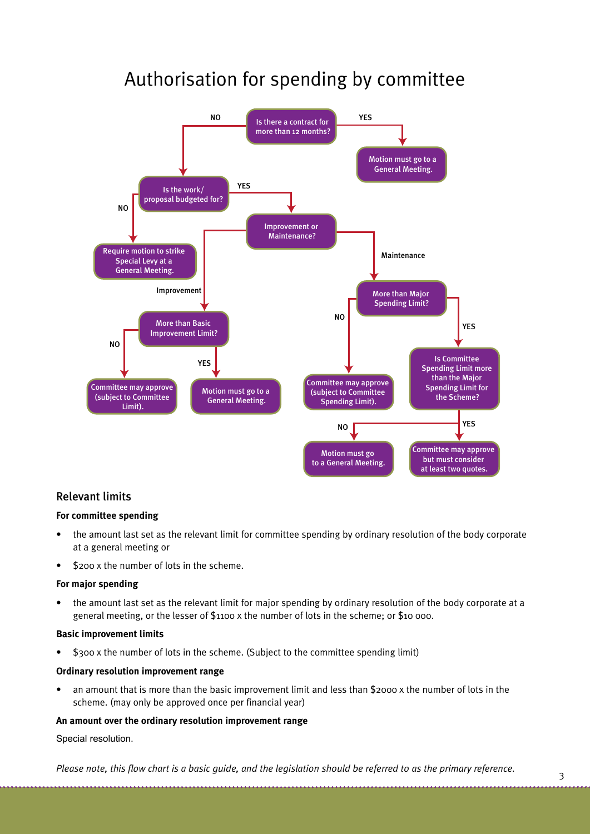# Authorisation for spending by committee



### Relevant limits

#### **For committee spending**

- the amount last set as the relevant limit for committee spending by ordinary resolution of the body corporate at a general meeting or
- \$200 x the number of lots in the scheme.

#### **For major spending**

• the amount last set as the relevant limit for major spending by ordinary resolution of the body corporate at a general meeting, or the lesser of \$1100 x the number of lots in the scheme; or \$10 000.

#### **Basic improvement limits**

• \$300 x the number of lots in the scheme. (Subject to the committee spending limit)

#### **Ordinary resolution improvement range**

• an amount that is more than the basic improvement limit and less than \$2000 x the number of lots in the scheme. (may only be approved once per financial year)

#### **An amount over the ordinary resolution improvement range**

#### Special resolution.

*Please note, this flow chart is a basic guide, and the legislation should be referred to as the primary reference.*